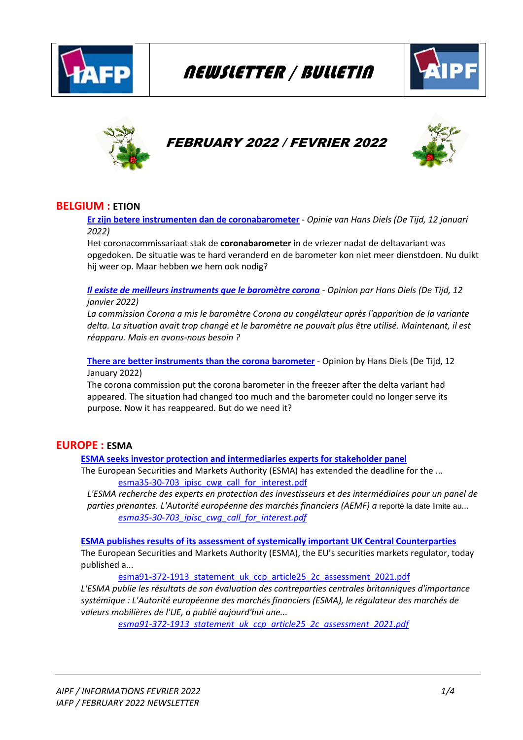

# NEWSLETTER / BULLETIN





## FEBRUARY 2022 / FEVRIER 2022



## **BELGIUM : ETION**

**[Er zijn betere instrumenten dan de coronabarometer](https://etion.be/kennis/er-zijn-betere-instrumenten-dan-de-coronabarometer)** - *Opinie van Hans Diels (De Tijd, 12 januari 2022)*

Het coronacommissariaat stak de **coronabarometer** in de vriezer nadat de deltavariant was opgedoken. De situatie was te hard veranderd en de barometer kon niet meer dienstdoen. Nu duikt hij weer op. Maar hebben we hem ook nodig?

*[Il existe de meilleurs instruments que le baromètre corona](https://etion.be/kennis/er-zijn-betere-instrumenten-dan-de-coronabarometer) - Opinion par Hans Diels (De Tijd, 12 janvier 2022)*

La commission Corona a mis le baromètre Corona au congélateur après l'apparition de la variante *delta. La situation avait trop changé et le baromètre ne pouvait plus être utilisé. Maintenant, il est réapparu. Mais en avons-nous besoin ?*

**[There are better instruments than the corona barometer](https://etion.be/kennis/er-zijn-betere-instrumenten-dan-de-coronabarometer)** - Opinion by Hans Diels (De Tijd, 12 January 2022)

The corona commission put the corona barometer in the freezer after the delta variant had appeared. The situation had changed too much and the barometer could no longer serve its purpose. Now it has reappeared. But do we need it?

#### **EUROPE : ESMA**

**[ESMA seeks investor protection and intermediaries experts for stakeholder panel](https://www.esma.europa.eu/press-news/esma-news/esma-seeks-investor-protection-and-intermediaries-experts-stakeholder-panel)**

The European Securities and Markets Authority (ESMA) has extended the deadline for the ... [esma35-30-703\\_ipisc\\_cwg\\_call\\_for\\_interest.pdf](https://www.esma.europa.eu/sites/default/files/library/esma35-30-703_ipisc_cwg_call_for_interest.pdf)

*L'ESMA recherche des experts en protection des investisseurs et des intermédiaires pour un panel de parties prenantes. L'Autorité européenne des marchés financiers (AEMF) a* reporté la date limite au*... [esma35-30-703\\_ipisc\\_cwg\\_call\\_for\\_interest.pdf](https://www.esma.europa.eu/sites/default/files/library/esma35-30-703_ipisc_cwg_call_for_interest.pdf)*

**[ESMA publishes results of its assessment of systemically important UK Central Counterparties](https://www.esma.europa.eu/press-news/esma-news/esma-publishes-results-its-assessment-systemically-important-uk-central)** The European Securities and Markets Authority (ESMA), the EU's securities markets regulator, today published a...

esma91-372-1913 statement uk ccp article25 2c assessment 2021.pdf

*L'ESMA publie les résultats de son évaluation des contreparties centrales britanniques d'importance systémique : L'Autorité européenne des marchés financiers (ESMA), le régulateur des marchés de valeurs mobilières de l'UE, a publié aujourd'hui une...*

*[esma91-372-1913\\_statement\\_uk\\_ccp\\_article25\\_2c\\_assessment\\_2021.pdf](https://www.esma.europa.eu/sites/default/files/library/esma91-372-1913_statement_uk_ccp_article25_2c_assessment_2021.pdf)*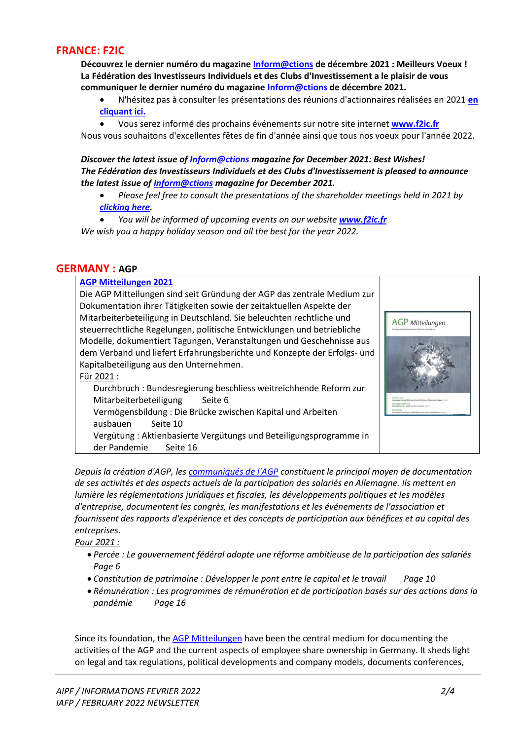#### **FRANCE: F2IC**

**Découvrez le dernier numéro du magazine [Inform@ctions](http://t.f2ic.fr/c/2002517/7791/17707486/49239) de décembre 2021 : Meilleurs Voeux ! La Fédération des Investisseurs Individuels et des Clubs d'Investissement a le plaisir de vous communiquer le dernier numéro du magazine [Inform@ctions](http://t.f2ic.fr/c/2002517/7791/17707486/49239) de décembre 2021.**

- N'hésitez pas à consulter les présentations des réunions d'actionnaires réalisées en 2021 **[en](http://t.f2ic.fr/c/2002517/7791/17707486/49240)  [cliquant ici.](http://t.f2ic.fr/c/2002517/7791/17707486/49240)**
- Vous serez informé des prochains événements sur notre site internet **<www.f2ic.fr>**

Nous vous souhaitons d'excellentes fêtes de fin d'année ainsi que tous nos voeux pour l'année 2022.

*Discover the latest issue of [Inform@ctions](http://t.f2ic.fr/c/2002517/7791/17707486/49239) magazine for December 2021: Best Wishes! The Fédération des Investisseurs Individuels et des Clubs d'Investissement is pleased to announce the latest issue of [Inform@ctions](http://t.f2ic.fr/c/2002517/7791/17707486/49239) magazine for December 2021.*

- *Please feel free to consult the presentations of the shareholder meetings held in 2021 by [clicking here.](http://t.f2ic.fr/c/2002517/7791/17707486/49240)*
- *You will be informed of upcoming events on our website <www.f2ic.fr>*

*We wish you a happy holiday season and all the best for the year 2022.*

#### **GERMANY : AGP**

| <b>AGP Mitteilungen 2021</b><br>Die AGP Mitteilungen sind seit Gründung der AGP das zentrale Medium zur                                                                                                                                                                                                                                                                                                                                                                                                                                                                                                                                                                                                                            |                         |
|------------------------------------------------------------------------------------------------------------------------------------------------------------------------------------------------------------------------------------------------------------------------------------------------------------------------------------------------------------------------------------------------------------------------------------------------------------------------------------------------------------------------------------------------------------------------------------------------------------------------------------------------------------------------------------------------------------------------------------|-------------------------|
| Dokumentation ihrer Tätigkeiten sowie der zeitaktuellen Aspekte der<br>Mitarbeiterbeteiligung in Deutschland. Sie beleuchten rechtliche und<br>steuerrechtliche Regelungen, politische Entwicklungen und betriebliche<br>Modelle, dokumentiert Tagungen, Veranstaltungen und Geschehnisse aus<br>dem Verband und liefert Erfahrungsberichte und Konzepte der Erfolgs- und<br>Kapitalbeteiligung aus den Unternehmen.<br>Für 2021 :<br>Durchbruch: Bundesregierung beschliess weitreichhende Reform zur<br>Mitarbeiterbeteiligung<br>Seite 6<br>Vermögensbildung: Die Brücke zwischen Kapital und Arbeiten<br>ausbauen<br>Seite 10<br>Vergütung: Aktienbasierte Vergütungs und Beteiligungsprogramme in<br>der Pandemie<br>Seite 16 | <b>AGP</b> Mitteilungen |
|                                                                                                                                                                                                                                                                                                                                                                                                                                                                                                                                                                                                                                                                                                                                    |                         |

*Depuis la création d'AGP, le[s communiqués de l'AGP](https://www.yumpu.com/de/document/read/66085130/agp-mitteilungen-2021) constituent le principal moyen de documentation de ses activités et des aspects actuels de la participation des salariés en Allemagne. Ils mettent en lumière les réglementations juridiques et fiscales, les développements politiques et les modèles d'entreprise, documentent les congrès, les manifestations et les événements de l'association et fournissent des rapports d'expérience et des concepts de participation aux bénéfices et au capital des entreprises.* 

*Pour 2021 :*

- *Percée : Le gouvernement fédéral adopte une réforme ambitieuse de la participation des salariés Page 6*
- *Constitution de patrimoine : Développer le pont entre le capital et le travail Page 10*
- *Rémunération : Les programmes de rémunération et de participation basés sur des actions dans la pandémie Page 16*

Since its foundation, th[e AGP Mitteilungen](https://www.yumpu.com/de/document/read/66085130/agp-mitteilungen-2021) have been the central medium for documenting the activities of the AGP and the current aspects of employee share ownership in Germany. It sheds light on legal and tax regulations, political developments and company models, documents conferences,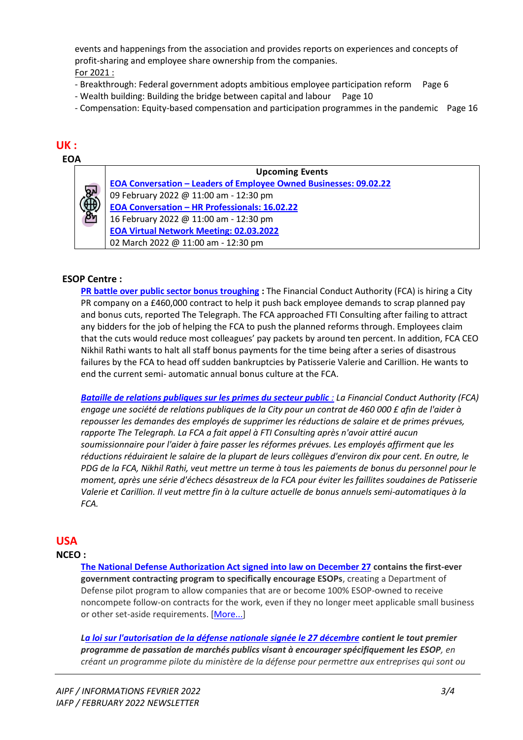events and happenings from the association and provides reports on experiences and concepts of profit-sharing and employee share ownership from the companies.

- For 2021 :
- Breakthrough: Federal government adopts ambitious employee participation reform Page 6
- Wealth building: Building the bridge between capital and labour Page 10
- Compensation: Equity-based compensation and participation programmes in the pandemic Page 16

## **UK :**



**Upcoming Events EOA Conversation – [Leaders of Employee Owned Businesses: 09.02.22](https://employeeownership.co.uk/event/eoa-conversation-leaders-of-employee-owned-businesses-09-02-22/)**  09 February 2022 @ 11:00 am - 12:30 pm **EOA Conversation – [HR Professionals: 16.02.22](https://employeeownership.co.uk/event/eoa-conversation-hr-professionals-16-02-22/)**  16 February 2022 @ 11:00 am - 12:30 pm **[EOA Virtual Network Meeting: 02.03.2022](https://employeeownership.co.uk/event/eoa-virtual-network-meeting-02-03-2022/)**  02 March 2022 @ 11:00 am - 12:30 pm

## **ESOP Centre :**

**[PR battle over public sector bonus troughing](https://esopcentre.com/wp-content/uploads/dlm_uploads/2022/01/newspad-January-2022-1.pdf#page=9) :** The Financial Conduct Authority (FCA) is hiring a City PR company on a £460,000 contract to help it push back employee demands to scrap planned pay and bonus cuts, reported The Telegraph. The FCA approached FTI Consulting after failing to attract any bidders for the job of helping the FCA to push the planned reforms through. Employees claim that the cuts would reduce most colleagues' pay packets by around ten percent. In addition, FCA CEO Nikhil Rathi wants to halt all staff bonus payments for the time being after a series of disastrous failures by the FCA to head off sudden bankruptcies by Patisserie Valerie and Carillion. He wants to end the current semi- automatic annual bonus culture at the FCA.

*[Bataille de relations publiques sur les primes du secteur public](https://esopcentre.com/wp-content/uploads/dlm_uploads/2022/01/newspad-January-2022-1.pdf#page=9) : La Financial Conduct Authority (FCA) engage une société de relations publiques de la City pour un contrat de 460 000 £ afin de l'aider à repousser les demandes des employés de supprimer les réductions de salaire et de primes prévues, rapporte The Telegraph. La FCA a fait appel à FTI Consulting après n'avoir attiré aucun soumissionnaire pour l'aider à faire passer les réformes prévues. Les employés affirment que les réductions réduiraient le salaire de la plupart de leurs collègues d'environ dix pour cent. En outre, le PDG de la FCA, Nikhil Rathi, veut mettre un terme à tous les paiements de bonus du personnel pour le moment, après une série d'échecs désastreux de la FCA pour éviter les faillites soudaines de Patisserie Valerie et Carillion. Il veut mettre fin à la culture actuelle de bonus annuels semi-automatiques à la FCA.*

## **USA**

#### **NCEO :**

**[The National Defense Authorization Act signed into law on December 27](https://r20.rs6.net/tn.jsp?f=001jfjlsB67KO0uy99k1-qK6NMtteOMeiDTgLQrFyahq0_nwcCBPw8Qij7E8ZXKvkWmwScimglowC5qXlIvXpGYZIou3tPqdVxzaUlSCvgZ6Ku8IdI_sBk8TSns-3frXYJA7Y7tSHYkSJAgYyYFBxEsqHRLjTEvqCfgfyQJKDsqvNDDyjPOew_i_nQSKuFxnlkNkLZpHMmPfjLAp7m9F1NmFUQtgZyrhxU63pL1ObDaZlgXoS4wcVK15qlmYVPcptqN&c=uuqqTmKdvPh7IKSJDRcpE6jLJKTYxVV_v0nbKORKb9UGEHWrgp6sag==&ch=_XJTwgF2z7QcH_TdrtDEBHgJzE2YYyv25H6lTRBEqj04ztqVSoPalw==) contains the first-ever government contracting program to specifically encourage ESOPs**, creating a Department of Defense pilot program to allow companies that are or become 100% ESOP-owned to receive noncompete follow-on contracts for the work, even if they no longer meet applicable small business or other set-aside requirements. [\[More...\]](https://r20.rs6.net/tn.jsp?f=001jfjlsB67KO0uy99k1-qK6NMtteOMeiDTgLQrFyahq0_nwcCBPw8Qij7E8ZXKvkWmwScimglowC5qXlIvXpGYZIou3tPqdVxzaUlSCvgZ6Ku8IdI_sBk8TSns-3frXYJA7Y7tSHYkSJAgYyYFBxEsqHRLjTEvqCfgfyQJKDsqvNDDyjPOew_i_nQSKuFxnlkNkLZpHMmPfjLAp7m9F1NmFUQtgZyrhxU63pL1ObDaZlgXoS4wcVK15qlmYVPcptqN&c=uuqqTmKdvPh7IKSJDRcpE6jLJKTYxVV_v0nbKORKb9UGEHWrgp6sag==&ch=_XJTwgF2z7QcH_TdrtDEBHgJzE2YYyv25H6lTRBEqj04ztqVSoPalw==)

*[La loi sur l'autorisation de la défense nationale signée le 27 décembre](https://r20.rs6.net/tn.jsp?f=001jfjlsB67KO0uy99k1-qK6NMtteOMeiDTgLQrFyahq0_nwcCBPw8Qij7E8ZXKvkWmwScimglowC5qXlIvXpGYZIou3tPqdVxzaUlSCvgZ6Ku8IdI_sBk8TSns-3frXYJA7Y7tSHYkSJAgYyYFBxEsqHRLjTEvqCfgfyQJKDsqvNDDyjPOew_i_nQSKuFxnlkNkLZpHMmPfjLAp7m9F1NmFUQtgZyrhxU63pL1ObDaZlgXoS4wcVK15qlmYVPcptqN&c=uuqqTmKdvPh7IKSJDRcpE6jLJKTYxVV_v0nbKORKb9UGEHWrgp6sag==&ch=_XJTwgF2z7QcH_TdrtDEBHgJzE2YYyv25H6lTRBEqj04ztqVSoPalw==) contient le tout premier programme de passation de marchés publics visant à encourager spécifiquement les ESOP, en créant un programme pilote du ministère de la défense pour permettre aux entreprises qui sont ou*